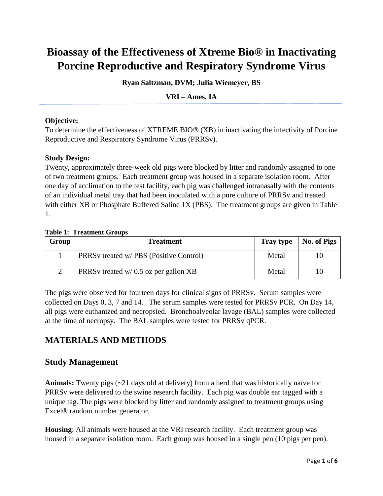# **Bioassay of the Effectiveness of Xtreme Bio® in Inactivating Porcine Reproductive and Respiratory Syndrome Virus**

**Ryan Saltzman, DVM; Julia Wiemeyer, BS**

**VRI – Ames, IA** 

#### **Objective:**

To determine the effectiveness of XTREME BIO® (XB) in inactivating the infectivity of Porcine Reproductive and Respiratory Syndrome Virus (PRRSv).

#### **Study Design:**

Twenty, approximately three-week old pigs were blocked by litter and randomly assigned to one of two treatment groups. Each treatment group was housed in a separate isolation room. After one day of acclimation to the test facility, each pig was challenged intranasally with the contents of an individual metal tray that had been inoculated with a pure culture of PRRSv and treated with either XB or Phosphate Buffered Saline 1X (PBS). The treatment groups are given in Table 1.

#### **Table 1: Treatment Groups**

| Group | <b>Treatment</b>                              | <b>Tray type</b> | No. of Pigs |
|-------|-----------------------------------------------|------------------|-------------|
|       | <b>PRRS</b> treated w/ PBS (Positive Control) | Metal            | 10          |
|       | $\vert$ PRRSv treated w/ 0.5 oz per gallon XB | Metal            | 10          |

The pigs were observed for fourteen days for clinical signs of PRRSv. Serum samples were collected on Days 0, 3, 7 and 14. The serum samples were tested for PRRSv PCR. On Day 14, all pigs were euthanized and necropsied. Bronchoalveolar lavage (BAL) samples were collected at the time of necropsy. The BAL samples were tested for PRRSv qPCR.

# **MATERIALS AND METHODS**

## **Study Management**

**Animals:** Twenty pigs (~21 days old at delivery) from a herd that was historically naïve for PRRSv were delivered to the swine research facility. Each pig was double ear tagged with a unique tag. The pigs were blocked by litter and randomly assigned to treatment groups using Excel® random number generator.

**Housing**: All animals were housed at the VRI research facility. Each treatment group was housed in a separate isolation room. Each group was housed in a single pen (10 pigs per pen).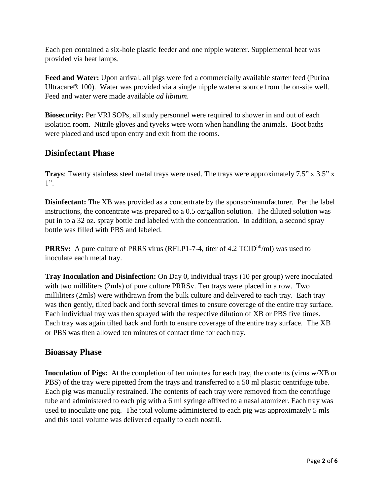Each pen contained a six-hole plastic feeder and one nipple waterer. Supplemental heat was provided via heat lamps.

Feed and Water: Upon arrival, all pigs were fed a commercially available starter feed (Purina Ultracare® 100). Water was provided via a single nipple waterer source from the on-site well. Feed and water were made available *ad libitum*.

**Biosecurity:** Per VRI SOPs, all study personnel were required to shower in and out of each isolation room. Nitrile gloves and tyveks were worn when handling the animals. Boot baths were placed and used upon entry and exit from the rooms.

## **Disinfectant Phase**

**Trays**: Twenty stainless steel metal trays were used. The trays were approximately 7.5" x 3.5" x 1".

**Disinfectant:** The XB was provided as a concentrate by the sponsor/manufacturer. Per the label instructions, the concentrate was prepared to a 0.5 oz/gallon solution. The diluted solution was put in to a 32 oz. spray bottle and labeled with the concentration. In addition, a second spray bottle was filled with PBS and labeled.

**PRRSv:** A pure culture of PRRS virus (RFLP1-7-4, titer of 4.2 TCID<sup>50</sup>/ml) was used to inoculate each metal tray.

**Tray Inoculation and Disinfection:** On Day 0, individual trays (10 per group) were inoculated with two milliliters (2mls) of pure culture PRRSv. Ten trays were placed in a row. Two milliliters (2mls) were withdrawn from the bulk culture and delivered to each tray. Each tray was then gently, tilted back and forth several times to ensure coverage of the entire tray surface. Each individual tray was then sprayed with the respective dilution of XB or PBS five times. Each tray was again tilted back and forth to ensure coverage of the entire tray surface. The XB or PBS was then allowed ten minutes of contact time for each tray.

## **Bioassay Phase**

**Inoculation of Pigs:** At the completion of ten minutes for each tray, the contents (virus w/XB or PBS) of the tray were pipetted from the trays and transferred to a 50 ml plastic centrifuge tube. Each pig was manually restrained. The contents of each tray were removed from the centrifuge tube and administered to each pig with a 6 ml syringe affixed to a nasal atomizer. Each tray was used to inoculate one pig. The total volume administered to each pig was approximately 5 mls and this total volume was delivered equally to each nostril.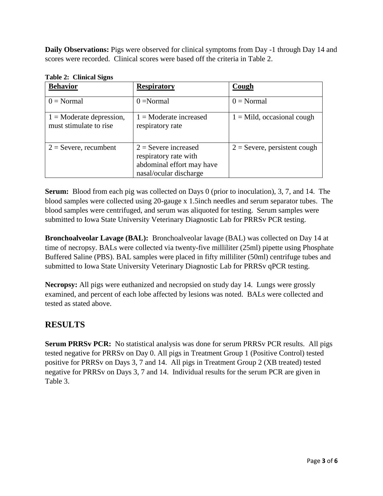**Daily Observations:** Pigs were observed for clinical symptoms from Day -1 through Day 14 and scores were recorded. Clinical scores were based off the criteria in Table 2.

| o<br><b>Behavior</b>                                 | <b>Respiratory</b>                                                                                     | Cough                          |
|------------------------------------------------------|--------------------------------------------------------------------------------------------------------|--------------------------------|
| $0 = Normal$                                         | $0 = Normal$                                                                                           | $0 = Normal$                   |
| $1 =$ Moderate depression,<br>must stimulate to rise | $1 =$ Moderate increased<br>respiratory rate                                                           | $1 =$ Mild, occasional cough   |
| $2 =$ Severe, recumbent                              | $2 =$ Severe increased<br>respiratory rate with<br>abdominal effort may have<br>nasal/ocular discharge | $2 =$ Severe, persistent cough |

**Table 2: Clinical Signs**

**Serum:** Blood from each pig was collected on Days 0 (prior to inoculation), 3, 7, and 14. The blood samples were collected using 20-gauge x 1.5inch needles and serum separator tubes. The blood samples were centrifuged, and serum was aliquoted for testing. Serum samples were submitted to Iowa State University Veterinary Diagnostic Lab for PRRSv PCR testing.

**Bronchoalveolar Lavage (BAL):** Bronchoalveolar lavage (BAL) was collected on Day 14 at time of necropsy. BALs were collected via twenty-five milliliter (25ml) pipette using Phosphate Buffered Saline (PBS). BAL samples were placed in fifty milliliter (50ml) centrifuge tubes and submitted to Iowa State University Veterinary Diagnostic Lab for PRRSv qPCR testing.

**Necropsy:** All pigs were euthanized and necropsied on study day 14. Lungs were grossly examined, and percent of each lobe affected by lesions was noted. BALs were collected and tested as stated above.

## **RESULTS**

**Serum PRRSv PCR:** No statistical analysis was done for serum PRRSv PCR results. All pigs tested negative for PRRSv on Day 0. All pigs in Treatment Group 1 (Positive Control) tested positive for PRRSv on Days 3, 7 and 14. All pigs in Treatment Group 2 (XB treated) tested negative for PRRSv on Days 3, 7 and 14. Individual results for the serum PCR are given in Table 3.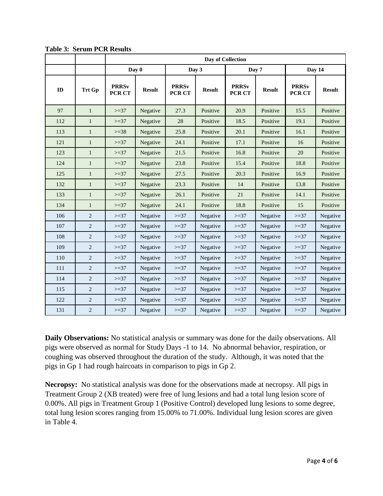|     |                | Day of Collection      |               |                        |               |                        |               |                        |               |
|-----|----------------|------------------------|---------------|------------------------|---------------|------------------------|---------------|------------------------|---------------|
|     |                | Day 0                  |               | Day 3                  |               | Day 7                  |               | Day 14                 |               |
| ID  | <b>Trt Gp</b>  | <b>PRRSv</b><br>PCR CT | <b>Result</b> | <b>PRRSv</b><br>PCR CT | <b>Result</b> | <b>PRRSv</b><br>PCR CT | <b>Result</b> | <b>PRRSv</b><br>PCR CT | <b>Result</b> |
| 97  | $\mathbf{1}$   | $>=37$                 | Negative      | 27.3                   | Positive      | 20.9                   | Positive      | 15.5                   | Positive      |
| 112 | $\mathbf{1}$   | $>=37$                 | Negative      | 28                     | Positive      | 18.5                   | Positive      | 19.1                   | Positive      |
| 113 | $\mathbf{1}$   | $>=38$                 | Negative      | 25.8                   | Positive      | 20.1                   | Positive      | 16.1                   | Positive      |
| 121 | $\mathbf{1}$   | $>=37$                 | Negative      | 24.1                   | Positive      | 17.1                   | Positive      | 16                     | Positive      |
| 123 | $\mathbf{1}$   | $>=37$                 | Negative      | 21.5                   | Positive      | 16.8                   | Positive      | 20                     | Positive      |
| 124 | $\mathbf{1}$   | $>=37$                 | Negative      | 23.8                   | Positive      | 15.4                   | Positive      | 18.8                   | Positive      |
| 125 | $\mathbf{1}$   | $>=37$                 | Negative      | 27.5                   | Positive      | 20.3                   | Positive      | 16.9                   | Positive      |
| 132 | $\mathbf{1}$   | $>=37$                 | Negative      | 23.3                   | Positive      | 14                     | Positive      | 13.8                   | Positive      |
| 133 | $\mathbf{1}$   | $>=37$                 | Negative      | 26.1                   | Positive      | 21                     | Positive      | 14.1                   | Positive      |
| 134 | $\mathbf{1}$   | $>=37$                 | Negative      | 24.1                   | Positive      | 18.8                   | Positive      | 15                     | Positive      |
| 106 | $\overline{2}$ | $>=37$                 | Negative      | $>=37$                 | Negative      | $>=37$                 | Negative      | $>=37$                 | Negative      |
| 107 | $\overline{2}$ | $>=37$                 | Negative      | $>=37$                 | Negative      | $>=37$                 | Negative      | $>=37$                 | Negative      |
| 108 | $\overline{2}$ | $>=37$                 | Negative      | $>=37$                 | Negative      | $>=37$                 | Negative      | $>=37$                 | Negative      |
| 109 | $\overline{2}$ | $>=37$                 | Negative      | $>=37$                 | Negative      | $>=37$                 | Negative      | $>=37$                 | Negative      |
| 110 | $\sqrt{2}$     | $>=37$                 | Negative      | $>=37$                 | Negative      | $>=37$                 | Negative      | $>=37$                 | Negative      |
| 111 | $\overline{2}$ | $>=37$                 | Negative      | $>=37$                 | Negative      | $>=37$                 | Negative      | $>=37$                 | Negative      |
| 114 | $\overline{2}$ | $>=37$                 | Negative      | $>=37$                 | Negative      | $>=37$                 | Negative      | $>=37$                 | Negative      |
| 115 | $\overline{2}$ | $>=37$                 | Negative      | $>=37$                 | Negative      | $>=37$                 | Negative      | $>=37$                 | Negative      |
| 122 | $\overline{2}$ | $>=37$                 | Negative      | $>=37$                 | Negative      | $>=37$                 | Negative      | $>=37$                 | Negative      |
| 131 | $\overline{2}$ | $>=37$                 | Negative      | $>=37$                 | Negative      | $>=37$                 | Negative      | $>=37$                 | Negative      |

**Table 3: Serum PCR Results**

**Daily Observations:** No statistical analysis or summary was done for the daily observations. All pigs were observed as normal for Study Days -1 to 14. No abnormal behavior, respiration, or coughing was observed throughout the duration of the study. Although, it was noted that the pigs in Gp 1 had rough haircoats in comparison to pigs in Gp 2.

**Necropsy:** No statistical analysis was done for the observations made at necropsy. All pigs in Treatment Group 2 (XB treated) were free of lung lesions and had a total lung lesion score of 0.00%. All pigs in Treatment Group 1 (Positive Control) developed lung lesions to some degree, total lung lesion scores ranging from 15.00% to 71.00%. Individual lung lesion scores are given in Table 4.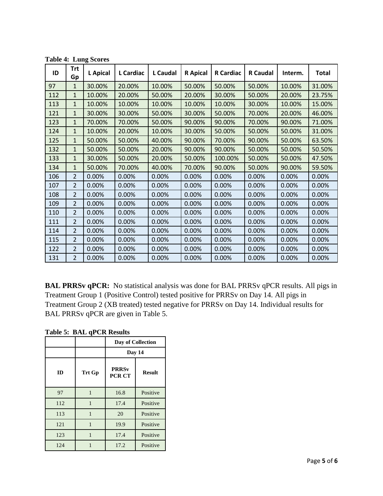| ID  | <b>Trt</b><br>Gp | <b>L</b> Apical | L Cardiac | L Caudal | <b>R</b> Apical | <b>R</b> Cardiac | <b>R</b> Caudal | Interm. | <b>Total</b> |
|-----|------------------|-----------------|-----------|----------|-----------------|------------------|-----------------|---------|--------------|
| 97  | $\mathbf{1}$     | 30.00%          | 20.00%    | 10.00%   | 50.00%          | 50.00%           | 50.00%          | 10.00%  | 31.00%       |
| 112 | $\mathbf{1}$     | 10.00%          | 20.00%    | 50.00%   | 20.00%          | 30.00%           | 50.00%          | 20.00%  | 23.75%       |
| 113 | $\mathbf{1}$     | 10.00%          | 10.00%    | 10.00%   | 10.00%          | 10.00%           | 30.00%          | 10.00%  | 15.00%       |
| 121 | 1                | 30.00%          | 30.00%    | 50.00%   | 30.00%          | 50.00%           | 70.00%          | 20.00%  | 46.00%       |
| 123 | 1                | 70.00%          | 70.00%    | 50.00%   | 90.00%          | 90.00%           | 70.00%          | 90.00%  | 71.00%       |
| 124 | $\mathbf{1}$     | 10.00%          | 20.00%    | 10.00%   | 30.00%          | 50.00%           | 50.00%          | 50.00%  | 31.00%       |
| 125 | $\mathbf{1}$     | 50.00%          | 50.00%    | 40.00%   | 90.00%          | 70.00%           | 90.00%          | 50.00%  | 63.50%       |
| 132 | $\mathbf{1}$     | 50.00%          | 50.00%    | 20.00%   | 90.00%          | 90.00%           | 50.00%          | 50.00%  | 50.50%       |
| 133 | 1                | 30.00%          | 50.00%    | 20.00%   | 50.00%          | 100.00%          | 50.00%          | 50.00%  | 47.50%       |
| 134 | $\mathbf{1}$     | 50.00%          | 70.00%    | 40.00%   | 70.00%          | 90.00%           | 50.00%          | 90.00%  | 59.50%       |
| 106 | $\overline{2}$   | 0.00%           | 0.00%     | 0.00%    | 0.00%           | 0.00%            | 0.00%           | 0.00%   | 0.00%        |
| 107 | $\overline{2}$   | 0.00%           | 0.00%     | 0.00%    | 0.00%           | 0.00%            | 0.00%           | 0.00%   | 0.00%        |
| 108 | $\overline{2}$   | 0.00%           | 0.00%     | 0.00%    | 0.00%           | 0.00%            | 0.00%           | 0.00%   | 0.00%        |
| 109 | $\overline{2}$   | 0.00%           | 0.00%     | 0.00%    | 0.00%           | 0.00%            | 0.00%           | 0.00%   | 0.00%        |
| 110 | $\overline{2}$   | 0.00%           | 0.00%     | 0.00%    | 0.00%           | 0.00%            | 0.00%           | 0.00%   | 0.00%        |
| 111 | $\overline{2}$   | 0.00%           | 0.00%     | 0.00%    | 0.00%           | 0.00%            | 0.00%           | 0.00%   | 0.00%        |
| 114 | $\overline{2}$   | 0.00%           | 0.00%     | 0.00%    | 0.00%           | 0.00%            | 0.00%           | 0.00%   | 0.00%        |
| 115 | $\overline{2}$   | 0.00%           | 0.00%     | 0.00%    | 0.00%           | 0.00%            | 0.00%           | 0.00%   | 0.00%        |
| 122 | $\overline{2}$   | 0.00%           | 0.00%     | 0.00%    | 0.00%           | 0.00%            | 0.00%           | 0.00%   | 0.00%        |
| 131 | $\mathcal{P}$    | 0.00%           | 0.00%     | 0.00%    | 0.00%           | 0.00%            | 0.00%           | 0.00%   | 0.00%        |

**Table 4: Lung Scores**

**BAL PRRSv qPCR:** No statistical analysis was done for BAL PRRSv qPCR results. All pigs in Treatment Group 1 (Positive Control) tested positive for PRRSv on Day 14. All pigs in Treatment Group 2 (XB treated) tested negative for PRRSv on Day 14. Individual results for BAL PRRSv qPCR are given in Table 5.

**Table 5: BAL qPCR Results**

|     |        | Day of Collection             |               |  |
|-----|--------|-------------------------------|---------------|--|
|     |        | Day 14                        |               |  |
| ID  | Trt Gp | <b>PRRSv</b><br><b>PCR CT</b> | <b>Result</b> |  |
| 97  |        | 16.8                          | Positive      |  |
| 112 | 1      | 17.4                          | Positive      |  |
| 113 | 1      | 20                            | Positive      |  |
| 121 | 1      | 19.9                          | Positive      |  |
| 123 | 1      | 17.4                          | Positive      |  |
| 124 |        | 17.2                          | Positive      |  |